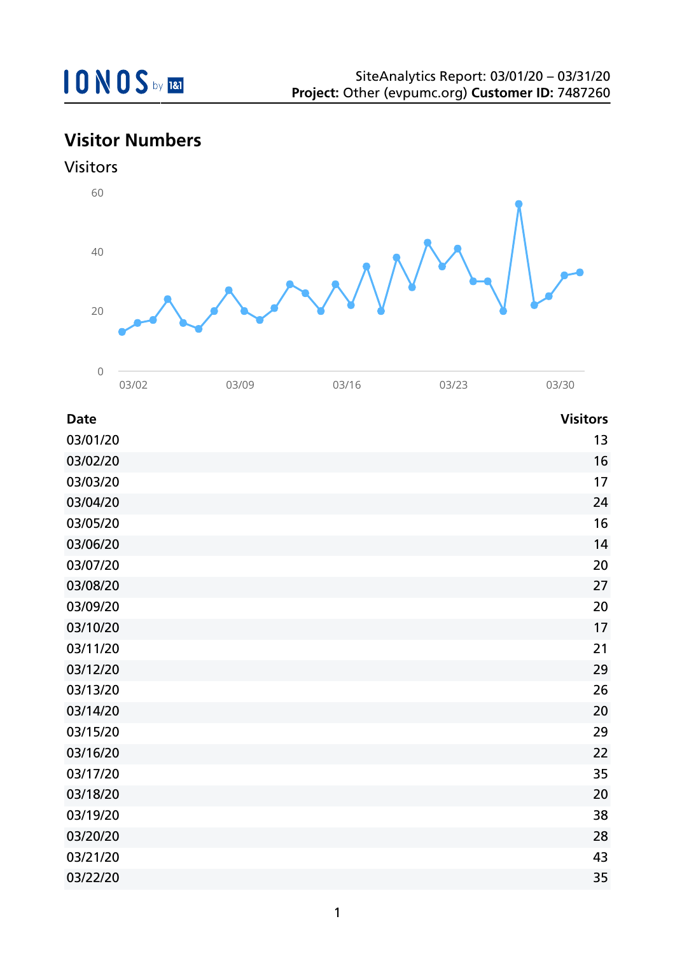## **Visitor Numbers**

0



|             | 03/02 | 03/09 | 03/16 | 03/23 | 03/30           |
|-------------|-------|-------|-------|-------|-----------------|
| <b>Date</b> |       |       |       |       | <b>Visitors</b> |
| 03/01/20    |       |       |       |       | 13              |
| 03/02/20    |       |       |       |       | 16              |
| 03/03/20    |       |       |       |       | 17              |
| 03/04/20    |       |       |       |       | 24              |
| 03/05/20    |       |       |       |       | 16              |
| 03/06/20    |       |       |       |       | 14              |
| 03/07/20    |       |       |       |       | 20              |
| 03/08/20    |       |       |       |       | 27              |
| 03/09/20    |       |       |       |       | 20              |
| 03/10/20    |       |       |       |       | 17              |
| 03/11/20    |       |       |       |       | 21              |
| 03/12/20    |       |       |       |       | 29              |
| 03/13/20    |       |       |       |       | 26              |
| 03/14/20    |       |       |       |       | 20              |
| 03/15/20    |       |       |       |       | 29              |
| 03/16/20    |       |       |       |       | 22              |
| 03/17/20    |       |       |       |       | 35              |
| 03/18/20    |       |       |       |       | 20              |
| 03/19/20    |       |       |       |       | 38              |
| 03/20/20    |       |       |       |       | 28              |
| 03/21/20    |       |       |       |       | 43              |
| 03/22/20    |       |       |       |       | 35              |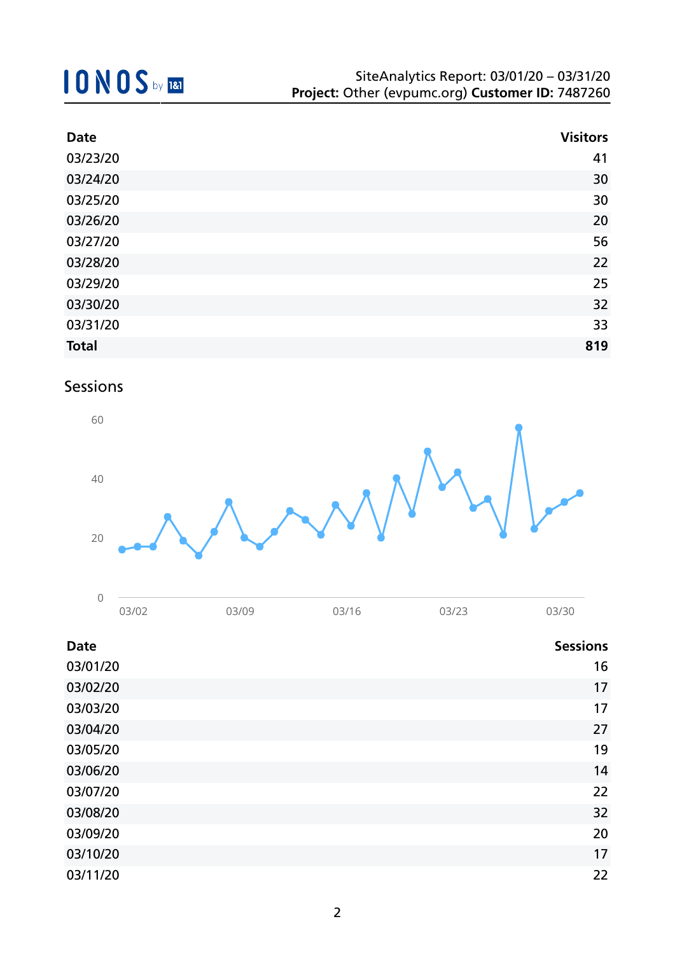| <b>Date</b>  | <b>Visitors</b> |
|--------------|-----------------|
| 03/23/20     | 41              |
| 03/24/20     | 30              |
| 03/25/20     | 30              |
| 03/26/20     | 20              |
| 03/27/20     | 56              |
| 03/28/20     | 22              |
| 03/29/20     | 25              |
| 03/30/20     | 32              |
| 03/31/20     | 33              |
| <b>Total</b> | 819             |

### Sessions



| - |                  |      |            |                |  |
|---|------------------|------|------------|----------------|--|
|   | 12/02<br>JU JU Z | 3/09 | าว/16<br>◡ | 13/22<br>◡◡ ∠◡ |  |

| <b>Date</b> | <b>Sessions</b> |
|-------------|-----------------|
| 03/01/20    | 16              |
| 03/02/20    | 17              |
| 03/03/20    | 17              |
| 03/04/20    | 27              |
| 03/05/20    | 19              |
| 03/06/20    | 14              |
| 03/07/20    | 22              |
| 03/08/20    | 32              |
| 03/09/20    | 20              |
| 03/10/20    | 17              |
| 03/11/20    | 22              |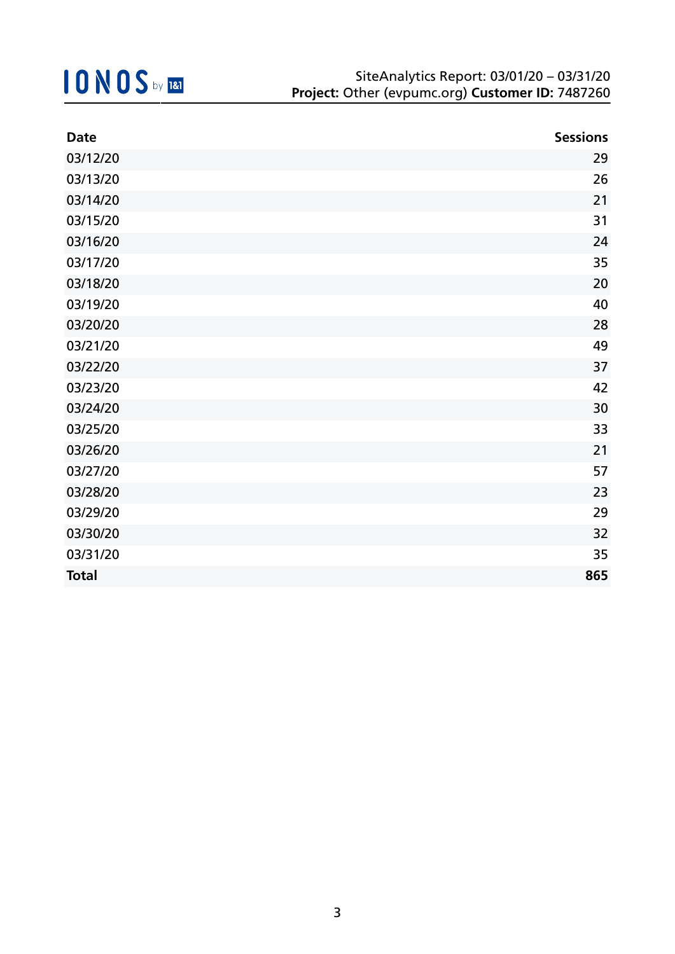| <b>Date</b>  | <b>Sessions</b> |
|--------------|-----------------|
| 03/12/20     | 29              |
| 03/13/20     | 26              |
| 03/14/20     | 21              |
| 03/15/20     | 31              |
| 03/16/20     | 24              |
| 03/17/20     | 35              |
| 03/18/20     | 20              |
| 03/19/20     | 40              |
| 03/20/20     | 28              |
| 03/21/20     | 49              |
| 03/22/20     | 37              |
| 03/23/20     | 42              |
| 03/24/20     | 30              |
| 03/25/20     | 33              |
| 03/26/20     | 21              |
| 03/27/20     | 57              |
| 03/28/20     | 23              |
| 03/29/20     | 29              |
| 03/30/20     | 32              |
| 03/31/20     | 35              |
| <b>Total</b> | 865             |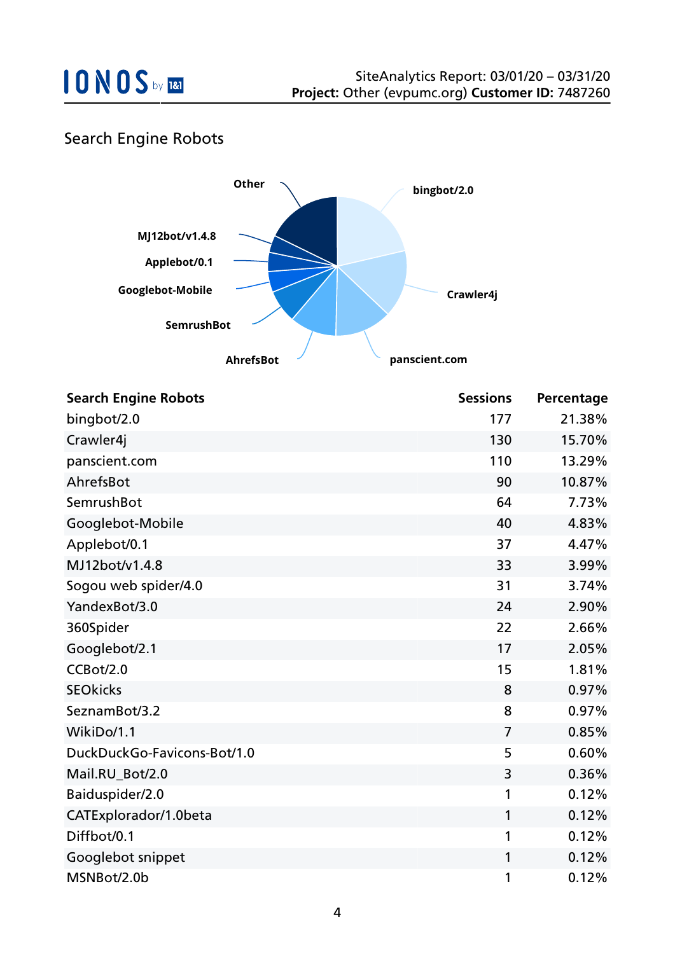

### Search Engine Robots



| <b>Search Engine Robots</b> | <b>Sessions</b> | Percentage |
|-----------------------------|-----------------|------------|
| bingbot/2.0                 | 177             | 21.38%     |
| Crawler4j                   | 130             | 15.70%     |
| panscient.com               | 110             | 13.29%     |
| AhrefsBot                   | 90              | 10.87%     |
| SemrushBot                  | 64              | 7.73%      |
| Googlebot-Mobile            | 40              | 4.83%      |
| Applebot/0.1                | 37              | 4.47%      |
| MJ12bot/v1.4.8              | 33              | 3.99%      |
| Sogou web spider/4.0        | 31              | 3.74%      |
| YandexBot/3.0               | 24              | 2.90%      |
| 360Spider                   | 22              | 2.66%      |
| Googlebot/2.1               | 17              | 2.05%      |
| CCBot/2.0                   | 15              | 1.81%      |
| <b>SEOkicks</b>             | 8               | 0.97%      |
| SeznamBot/3.2               | 8               | 0.97%      |
| WikiDo/1.1                  | $\overline{7}$  | 0.85%      |
| DuckDuckGo-Favicons-Bot/1.0 | 5               | 0.60%      |
| Mail.RU_Bot/2.0             | 3               | 0.36%      |
| Baiduspider/2.0             | 1               | 0.12%      |
| CATExplorador/1.0beta       | $\mathbf{1}$    | 0.12%      |
| Diffbot/0.1                 | 1               | 0.12%      |
| Googlebot snippet           | 1               | 0.12%      |
| MSNBot/2.0b                 | 1               | 0.12%      |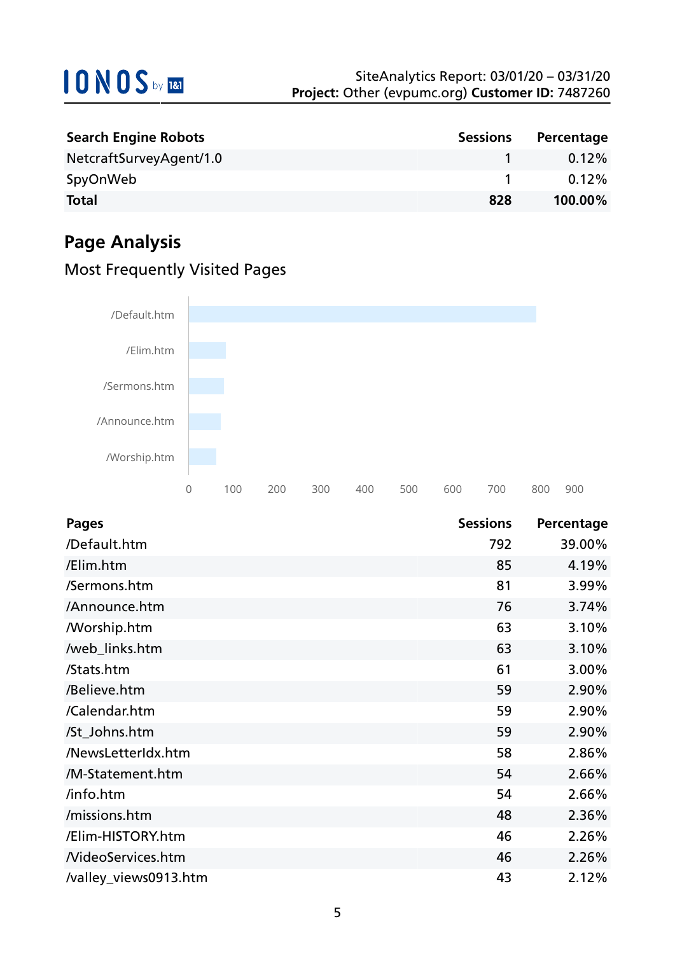| <b>Search Engine Robots</b> | <b>Sessions</b> | Percentage |
|-----------------------------|-----------------|------------|
| NetcraftSurveyAgent/1.0     |                 | $0.12\%$   |
| SpyOnWeb                    |                 | 0.12%      |
| <b>Total</b>                | 828             | 100.00%    |

## **Page Analysis**

### Most Frequently Visited Pages



| <b>Pages</b>             | <b>Sessions</b> | Percentage |
|--------------------------|-----------------|------------|
| /Default.htm             | 792             | 39.00%     |
| /Elim.htm                | 85              | 4.19%      |
| /Sermons.htm             | 81              | 3.99%      |
| /Announce.htm            | 76              | 3.74%      |
| <b>Morship.htm</b>       | 63              | 3.10%      |
| /web_links.htm           | 63              | 3.10%      |
| /Stats.htm               | 61              | 3.00%      |
| /Believe.htm             | 59              | 2.90%      |
| /Calendar.htm            | 59              | 2.90%      |
| /St_Johns.htm            | 59              | 2.90%      |
| /NewsLetterIdx.htm       | 58              | 2.86%      |
| /M-Statement.htm         | 54              | 2.66%      |
| /info.htm                | 54              | 2.66%      |
| /missions.htm            | 48              | 2.36%      |
| /Elim-HISTORY.htm        | 46              | 2.26%      |
| <b>NideoServices.htm</b> | 46              | 2.26%      |
| /valley_views0913.htm    | 43              | 2.12%      |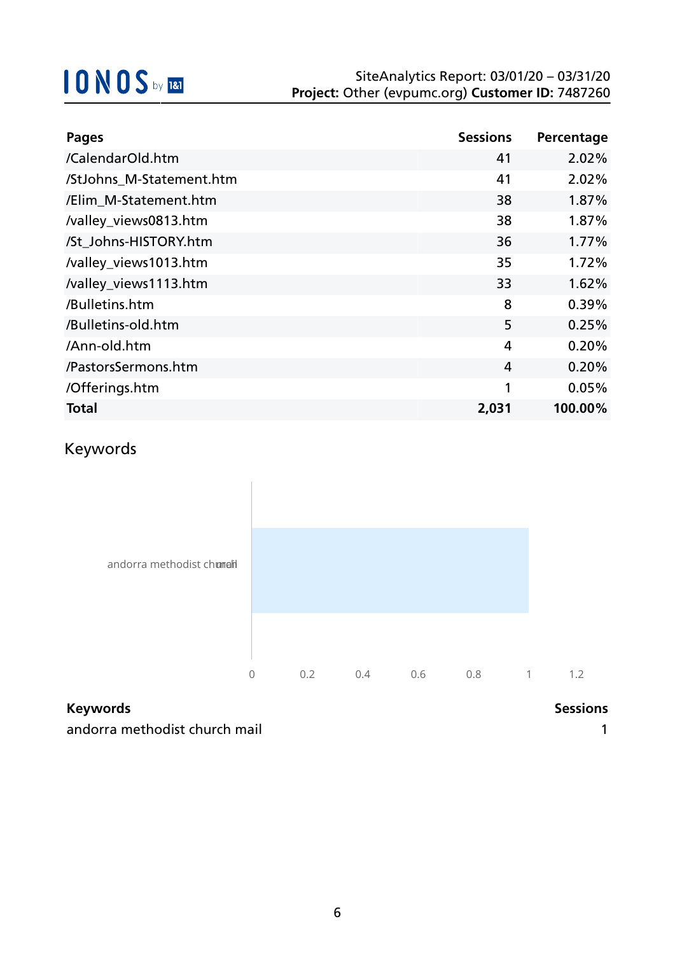| <b>Pages</b>             | <b>Sessions</b> | Percentage |
|--------------------------|-----------------|------------|
| /CalendarOld.htm         | 41              | 2.02%      |
| /StJohns_M-Statement.htm | 41              | 2.02%      |
| /Elim_M-Statement.htm    | 38              | 1.87%      |
| /valley_views0813.htm    | 38              | 1.87%      |
| /St Johns-HISTORY.htm    | 36              | 1.77%      |
| /valley_views1013.htm    | 35              | 1.72%      |
| /valley_views1113.htm    | 33              | 1.62%      |
| /Bulletins.htm           | 8               | 0.39%      |
| /Bulletins-old.htm       | 5               | 0.25%      |
| /Ann-old.htm             | 4               | 0.20%      |
| /PastorsSermons.htm      | 4               | 0.20%      |
| /Offerings.htm           | 1               | 0.05%      |
| <b>Total</b>             | 2,031           | 100.00%    |

### Keywords



## **Keywords Sessions**

andorra methodist church mail 1 and 200 million was a state of the 1 and 2 and 2 and 2 and 2 and 2 and 2 and 2 and 2 and 2 and 2 and 2 and 2 and 2 and 2 and 2 and 2 and 2 and 2 and 2 and 2 and 2 and 2 and 2 and 2 and 2 and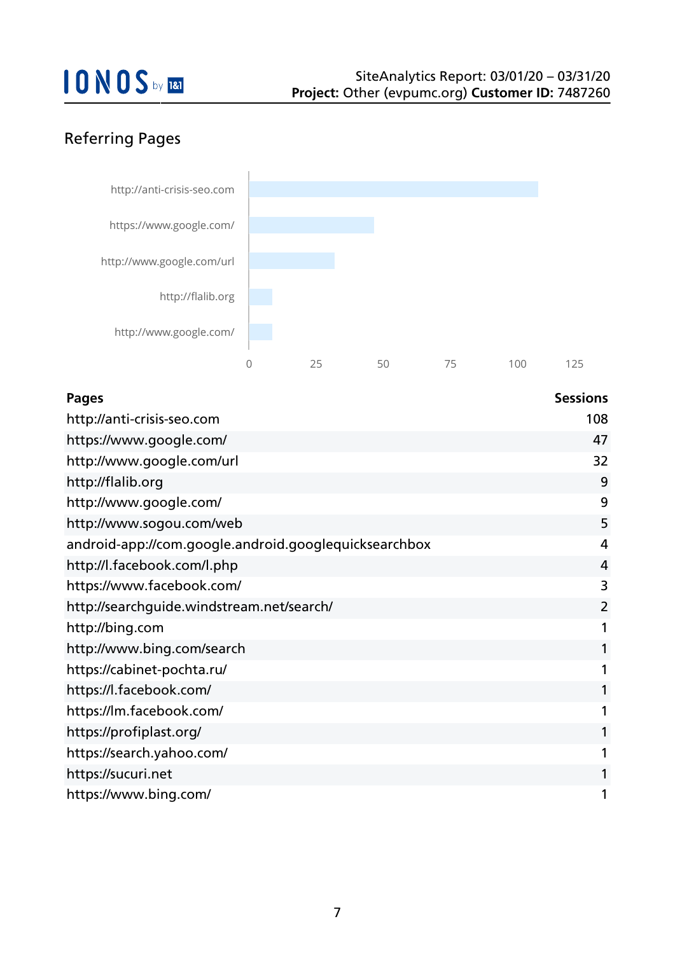## Referring Pages



| <b>Pages</b>                                          | <b>Sessions</b> |
|-------------------------------------------------------|-----------------|
| http://anti-crisis-seo.com                            | 108             |
| https://www.google.com/                               | 47              |
| http://www.google.com/url                             | 32              |
| http://flalib.org                                     | 9               |
| http://www.google.com/                                | 9               |
| http://www.sogou.com/web                              | 5               |
| android-app://com.google.android.googlequicksearchbox | 4               |
| http://l.facebook.com/l.php                           | 4               |
| https://www.facebook.com/                             | 3               |
| http://searchguide.windstream.net/search/             | $\overline{2}$  |
| http://bing.com                                       | 1               |
| http://www.bing.com/search                            | 1               |
| https://cabinet-pochta.ru/                            | 1               |
| https://l.facebook.com/                               | 1               |
| https://lm.facebook.com/                              | 1               |
| https://profiplast.org/                               | 1               |
| https://search.yahoo.com/                             | 1               |
| https://sucuri.net                                    | 1               |
| https://www.bing.com/                                 | 1               |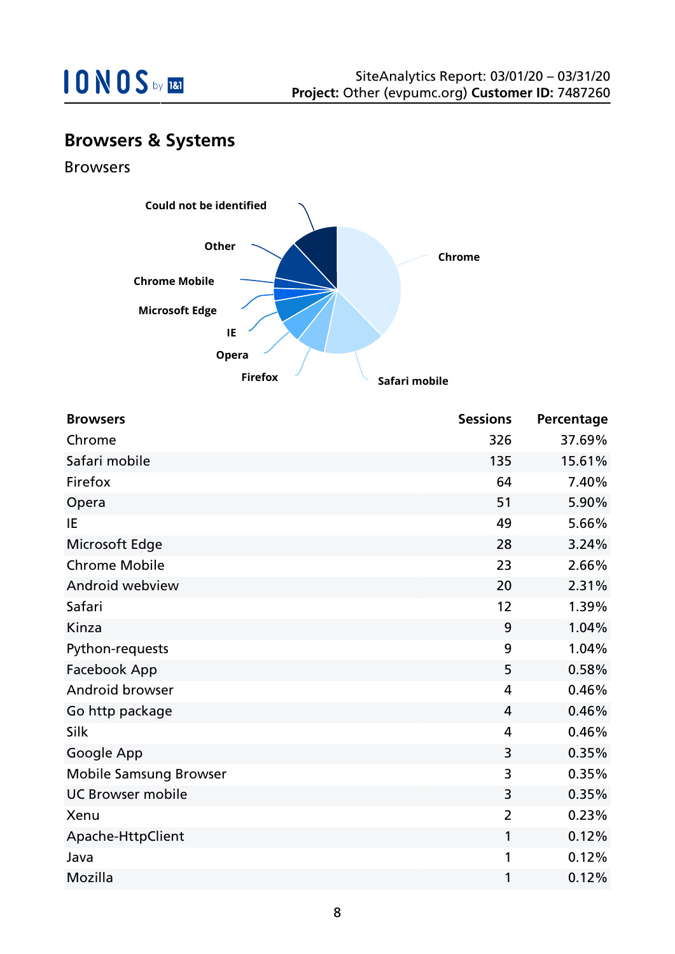

## **Browsers & Systems**

Browsers



| <b>Browsers</b>               | <b>Sessions</b> | Percentage |
|-------------------------------|-----------------|------------|
| Chrome                        | 326             | 37.69%     |
| Safari mobile                 | 135             | 15.61%     |
| Firefox                       | 64              | 7.40%      |
| Opera                         | 51              | 5.90%      |
| IE                            | 49              | 5.66%      |
| Microsoft Edge                | 28              | 3.24%      |
| <b>Chrome Mobile</b>          | 23              | 2.66%      |
| Android webview               | 20              | 2.31%      |
| Safari                        | 12              | 1.39%      |
| Kinza                         | 9               | 1.04%      |
| Python-requests               | 9               | 1.04%      |
| Facebook App                  | 5               | 0.58%      |
| Android browser               | 4               | 0.46%      |
| Go http package               | 4               | 0.46%      |
| Silk                          | 4               | 0.46%      |
| Google App                    | 3               | 0.35%      |
| <b>Mobile Samsung Browser</b> | 3               | 0.35%      |
| <b>UC Browser mobile</b>      | 3               | 0.35%      |
| Xenu                          | $\overline{2}$  | 0.23%      |
| Apache-HttpClient             | 1               | 0.12%      |
| Java                          | 1               | 0.12%      |
| Mozilla                       | 1               | 0.12%      |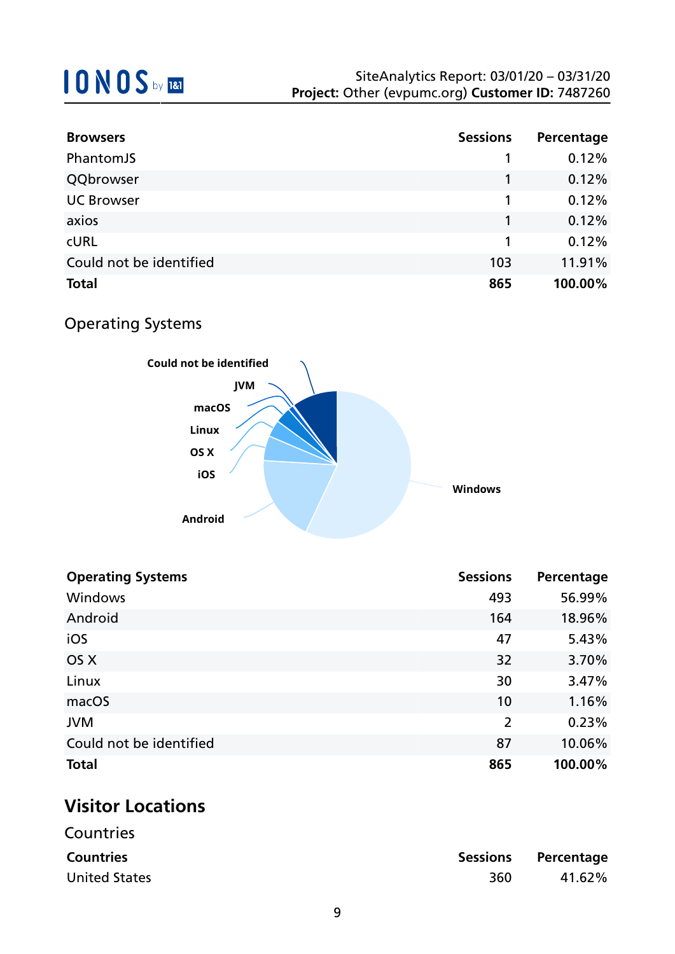| <b>Browsers</b>         | <b>Sessions</b> | Percentage |
|-------------------------|-----------------|------------|
| PhantomJS               |                 | 0.12%      |
| QQbrowser               |                 | 0.12%      |
| <b>UC Browser</b>       |                 | 0.12%      |
| axios                   |                 | 0.12%      |
| <b>CURL</b>             |                 | 0.12%      |
| Could not be identified | 103             | 11.91%     |
| <b>Total</b>            | 865             | 100.00%    |

## Operating Systems



| <b>Operating Systems</b> | <b>Sessions</b> | Percentage |
|--------------------------|-----------------|------------|
| Windows                  | 493             | 56.99%     |
| Android                  | 164             | 18.96%     |
| iOS                      | 47              | 5.43%      |
| OS X                     | 32              | 3.70%      |
| Linux                    | 30              | 3.47%      |
| macOS                    | 10              | 1.16%      |
| <b>JVM</b>               | $\overline{2}$  | 0.23%      |
| Could not be identified  | 87              | 10.06%     |
| <b>Total</b>             | 865             | 100.00%    |

## **Visitor Locations**

| Countries            |     |                     |
|----------------------|-----|---------------------|
| <b>Countries</b>     |     | Sessions Percentage |
| <b>United States</b> | 360 | 41.62%              |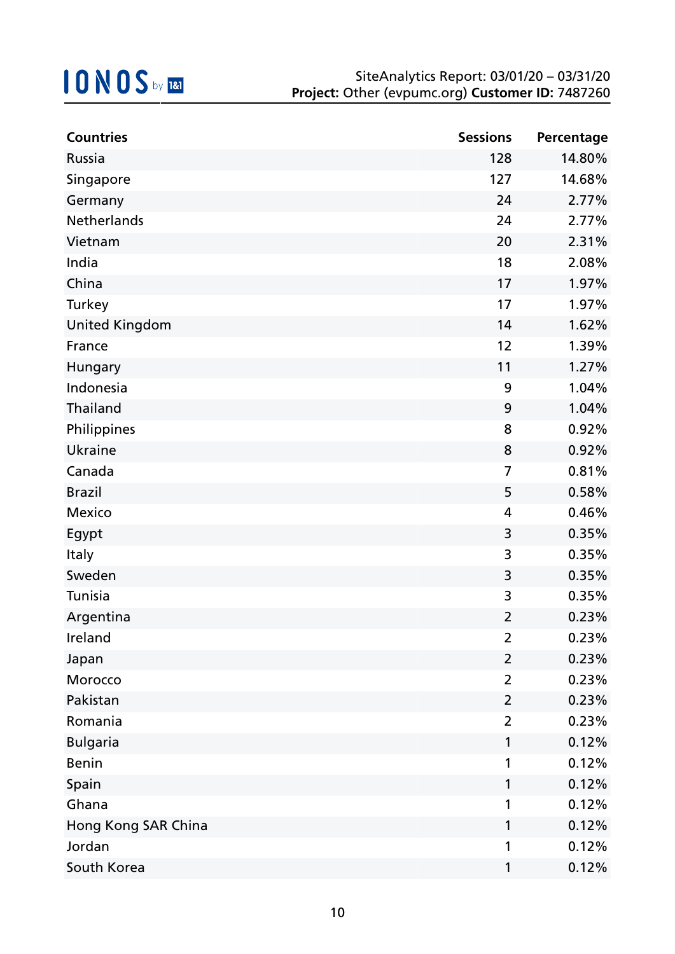| <b>Countries</b>      | <b>Sessions</b> | Percentage |
|-----------------------|-----------------|------------|
| Russia                | 128             | 14.80%     |
| Singapore             | 127             | 14.68%     |
| Germany               | 24              | 2.77%      |
| Netherlands           | 24              | 2.77%      |
| Vietnam               | 20              | 2.31%      |
| India                 | 18              | 2.08%      |
| China                 | 17              | 1.97%      |
| Turkey                | 17              | 1.97%      |
| <b>United Kingdom</b> | 14              | 1.62%      |
| France                | 12              | 1.39%      |
| Hungary               | 11              | 1.27%      |
| Indonesia             | 9               | 1.04%      |
| <b>Thailand</b>       | 9               | 1.04%      |
| Philippines           | 8               | 0.92%      |
| Ukraine               | 8               | 0.92%      |
| Canada                | $\overline{7}$  | 0.81%      |
| <b>Brazil</b>         | 5               | 0.58%      |
| Mexico                | 4               | 0.46%      |
| Egypt                 | 3               | 0.35%      |
| <b>Italy</b>          | 3               | 0.35%      |
| Sweden                | 3               | 0.35%      |
| Tunisia               | 3               | 0.35%      |
| Argentina             | $\overline{2}$  | 0.23%      |
| Ireland               | $\overline{2}$  | 0.23%      |
| Japan                 | $\overline{2}$  | 0.23%      |
| Morocco               | $\overline{2}$  | 0.23%      |
| Pakistan              | $\overline{2}$  | 0.23%      |
| Romania               | $\overline{2}$  | 0.23%      |
| <b>Bulgaria</b>       | $\mathbf{1}$    | 0.12%      |
| <b>Benin</b>          | 1               | 0.12%      |
| Spain                 | 1               | 0.12%      |
| Ghana                 | 1               | 0.12%      |
| Hong Kong SAR China   | 1               | 0.12%      |
| Jordan                | 1               | 0.12%      |
| South Korea           | 1               | 0.12%      |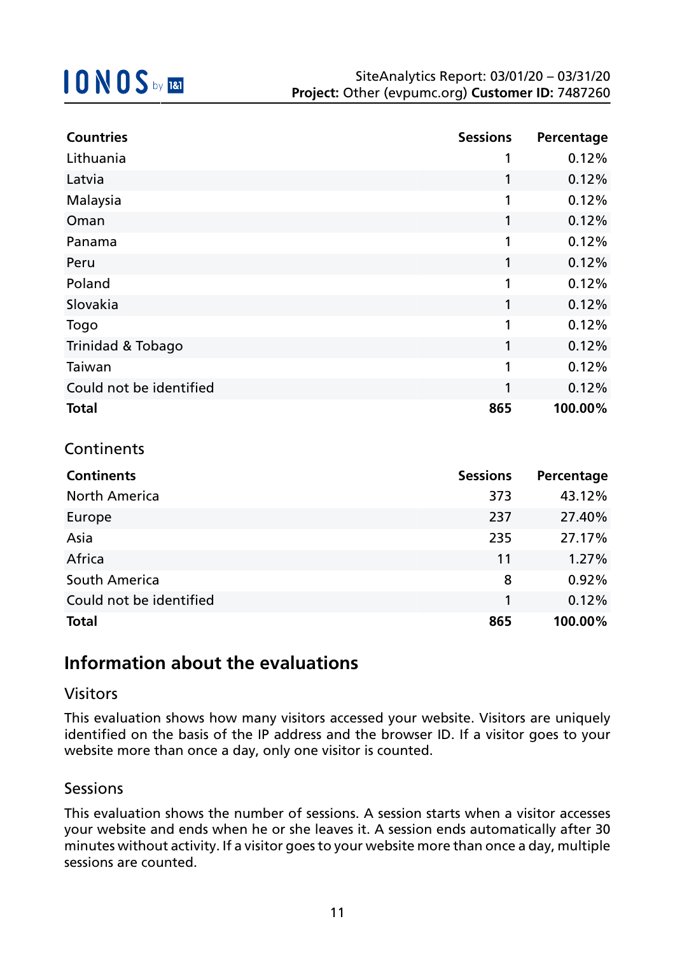| <b>Countries</b>        | <b>Sessions</b> | Percentage |
|-------------------------|-----------------|------------|
| Lithuania               | 1               | 0.12%      |
| Latvia                  | 1               | 0.12%      |
| Malaysia                | 1               | 0.12%      |
| Oman                    | 1               | 0.12%      |
| Panama                  | 1               | 0.12%      |
| Peru                    | 1               | 0.12%      |
| Poland                  | 1               | 0.12%      |
| Slovakia                | 1               | 0.12%      |
| Togo                    | 1               | 0.12%      |
| Trinidad & Tobago       | 1               | 0.12%      |
| Taiwan                  | 1               | 0.12%      |
| Could not be identified | 1               | 0.12%      |
| <b>Total</b>            | 865             | 100.00%    |

### **Continents**

| <b>Continents</b>       | <b>Sessions</b> | Percentage |
|-------------------------|-----------------|------------|
| <b>North America</b>    | 373             | 43.12%     |
| Europe                  | 237             | 27.40%     |
| Asia                    | 235             | 27.17%     |
| Africa                  | 11              | 1.27%      |
| South America           | 8               | 0.92%      |
| Could not be identified | 1               | 0.12%      |
| <b>Total</b>            | 865             | 100.00%    |

### **Information about the evaluations**

### Visitors

This evaluation shows how many visitors accessed your website. Visitors are uniquely identified on the basis of the IP address and the browser ID. If a visitor goes to your website more than once a day, only one visitor is counted.

### Sessions

This evaluation shows the number of sessions. A session starts when a visitor accesses your website and ends when he or she leaves it. A session ends automatically after 30 minutes without activity. If a visitor goes to your website more than once a day, multiple sessions are counted.